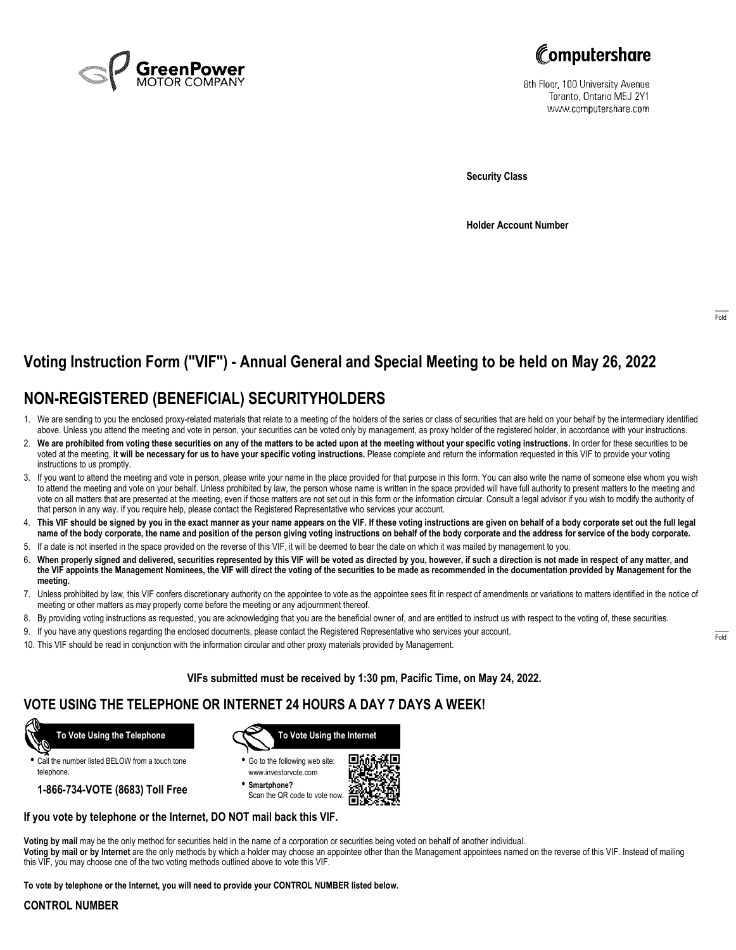



8th Floor, 100 University Avenue Toronto, Ontario M5J 2Y1 www.computershare.com

**Security Class**

**Holder Account Number**

## **Voting Instruction Form ("VIF") - Annual General and Special Meeting to be held on May 26, 2022**

### **NON-REGISTERED (BENEFICIAL) SECURITYHOLDERS**

- 1. We are sending to you the enclosed proxy-related materials that relate to a meeting of the holders of the series or class of securities that are held on your behalf by the intermediary identified above. Unless you attend the meeting and vote in person, your securities can be voted only by management, as proxy holder of the registered holder, in accordance with your instructions.
- 2. **We are prohibited from voting these securities on any of the matters to be acted upon at the meeting without your specific voting instructions.** In order for these securities to be voted at the meeting, **it will be necessary for us to have your specific voting instructions.** Please complete and return the information requested in this VIF to provide your voting instructions to us promptly.
- 3. If you want to attend the meeting and vote in person, please write your name in the place provided for that purpose in this form. You can also write the name of someone else whom you wish to attend the meeting and vote on your behalf. Unless prohibited by law, the person whose name is written in the space provided will have full authority to present matters to the meeting and vote on all matters that are presented at the meeting, even if those matters are not set out in this form or the information circular. Consult a legal advisor if you wish to modify the authority of that person in any way. If you require help, please contact the Registered Representative who services your account.
- 4. **This VIF should be signed by you in the exact manner as your name appears on the VIF. If these voting instructions are given on behalf of a body corporate set out the full legal name of the body corporate, the name and position of the person giving voting instructions on behalf of the body corporate and the address for service of the body corporate.**
- 5. If a date is not inserted in the space provided on the reverse of this VIF, it will be deemed to bear the date on which it was mailed by management to you.
- 6. **When properly signed and delivered, securities represented by this VIF will be voted as directed by you, however, if such a direction is not made in respect of any matter, and the VIF appoints the Management Nominees, the VIF will direct the voting of the securities to be made as recommended in the documentation provided by Management for the meeting.**
- 7. Unless prohibited by law, this VIF confers discretionary authority on the appointee to vote as the appointee sees fit in respect of amendments or variations to matters identified in the notice of meeting or other matters as may properly come before the meeting or any adjournment thereof.
- 8. By providing voting instructions as requested, you are acknowledging that you are the beneficial owner of, and are entitled to instruct us with respect to the voting of, these securities.
- 9. If you have any questions regarding the enclosed documents, please contact the Registered Representative who services your account.
- 10. This VIF should be read in conjunction with the information circular and other proxy materials provided by Management.

**VIFs submitted must be received by 1:30 pm, Pacific Time, on May 24, 2022.**

### **VOTE USING THE TELEPHONE OR INTERNET 24 HOURS A DAY 7 DAYS A WEEK!**



**•** Call the number listed BELOW from a touch tone telephone.

**1-866-734-VOTE (8683) Toll Free**



- **•** Go to the following web site: www.investorvote.com
- **• Smartphone?** Scan the QR code to vote now.



#### **If you vote by telephone or the Internet, DO NOT mail back this VIF.**

**Voting by mail** may be the only method for securities held in the name of a corporation or securities being voted on behalf of another individual. **Voting by mail or by Internet** are the only methods by which a holder may choose an appointee other than the Management appointees named on the reverse of this VIF. Instead of mailing this VIF, you may choose one of the two voting methods outlined above to vote this VIF.

**To vote by telephone or the Internet, you will need to provide your CONTROL NUMBER listed below.**

#### **CONTROL NUMBER**